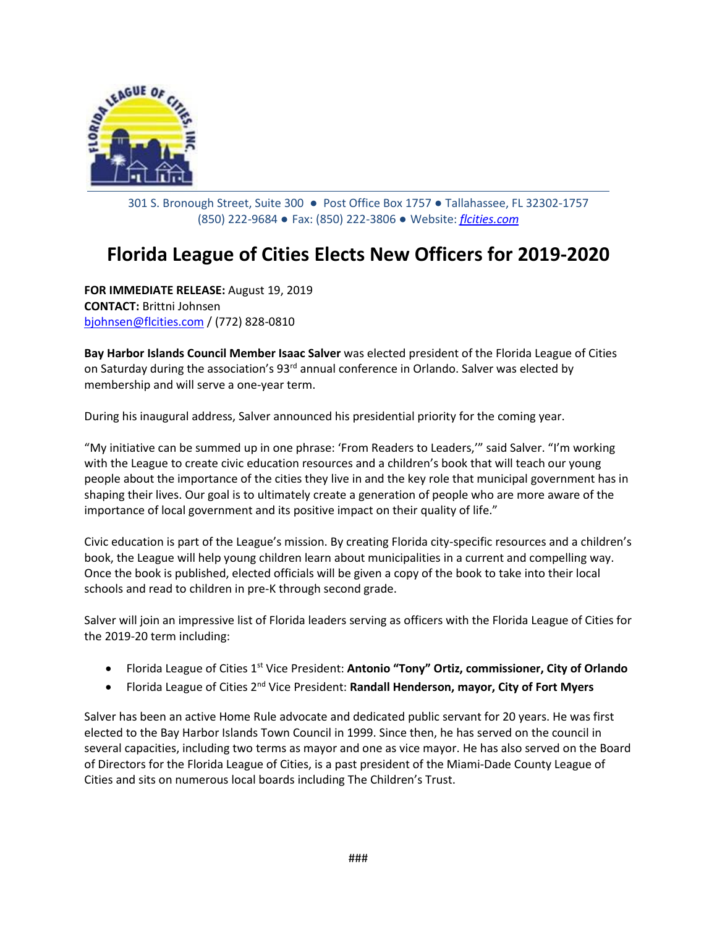

301 S. Bronough Street, Suite 300 ● Post Office Box 1757 ● Tallahassee, FL 32302-1757 (850) 222-9684 ● Fax: (850) 222-3806 ● Website: *[flcities.com](http://www.flcities.com/)*

## **Florida League of Cities Elects New Officers for 2019-2020**

**FOR IMMEDIATE RELEASE:** August 19, 2019 **CONTACT:** Brittni Johnsen [bjohnsen@flcities.com](mailto:bjohnsen@flcities.com) / (772) 828-0810

**Bay Harbor Islands Council Member Isaac Salver** was elected president of the Florida League of Cities on Saturday during the association's 93<sup>rd</sup> annual conference in Orlando. Salver was elected by membership and will serve a one-year term.

During his inaugural address, Salver announced his presidential priority for the coming year.

"My initiative can be summed up in one phrase: 'From Readers to Leaders,'" said Salver. "I'm working with the League to create civic education resources and a children's book that will teach our young people about the importance of the cities they live in and the key role that municipal government has in shaping their lives. Our goal is to ultimately create a generation of people who are more aware of the importance of local government and its positive impact on their quality of life."

Civic education is part of the League's mission. By creating Florida city-specific resources and a children's book, the League will help young children learn about municipalities in a current and compelling way. Once the book is published, elected officials will be given a copy of the book to take into their local schools and read to children in pre-K through second grade.

Salver will join an impressive list of Florida leaders serving as officers with the Florida League of Cities for the 2019-20 term including:

- Florida League of Cities 1st Vice President: **Antonio "Tony" Ortiz, commissioner, City of Orlando**
- Florida League of Cities 2nd Vice President: **Randall Henderson, mayor, City of Fort Myers**

Salver has been an active Home Rule advocate and dedicated public servant for 20 years. He was first elected to the Bay Harbor Islands Town Council in 1999. Since then, he has served on the council in several capacities, including two terms as mayor and one as vice mayor. He has also served on the Board of Directors for the Florida League of Cities, is a past president of the Miami-Dade County League of Cities and sits on numerous local boards including The Children's Trust.